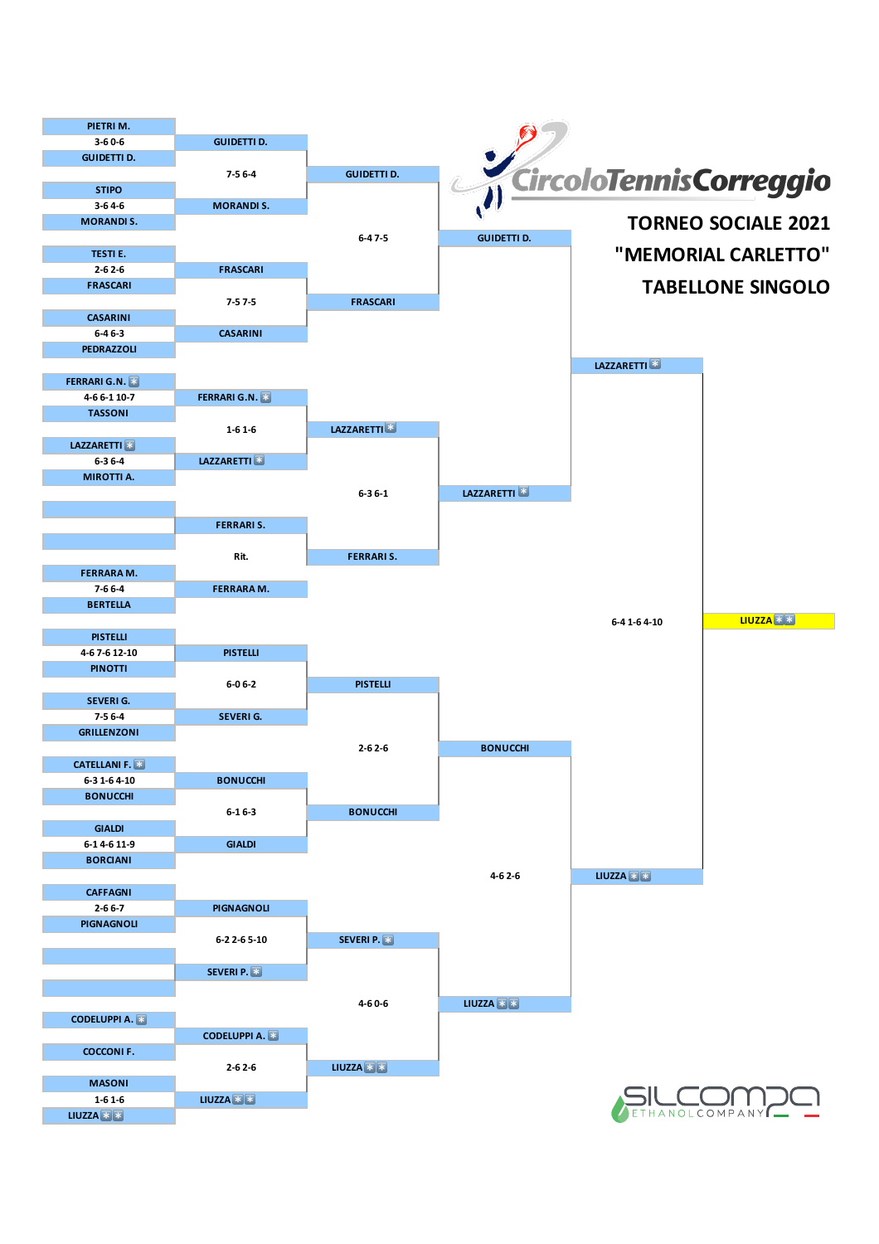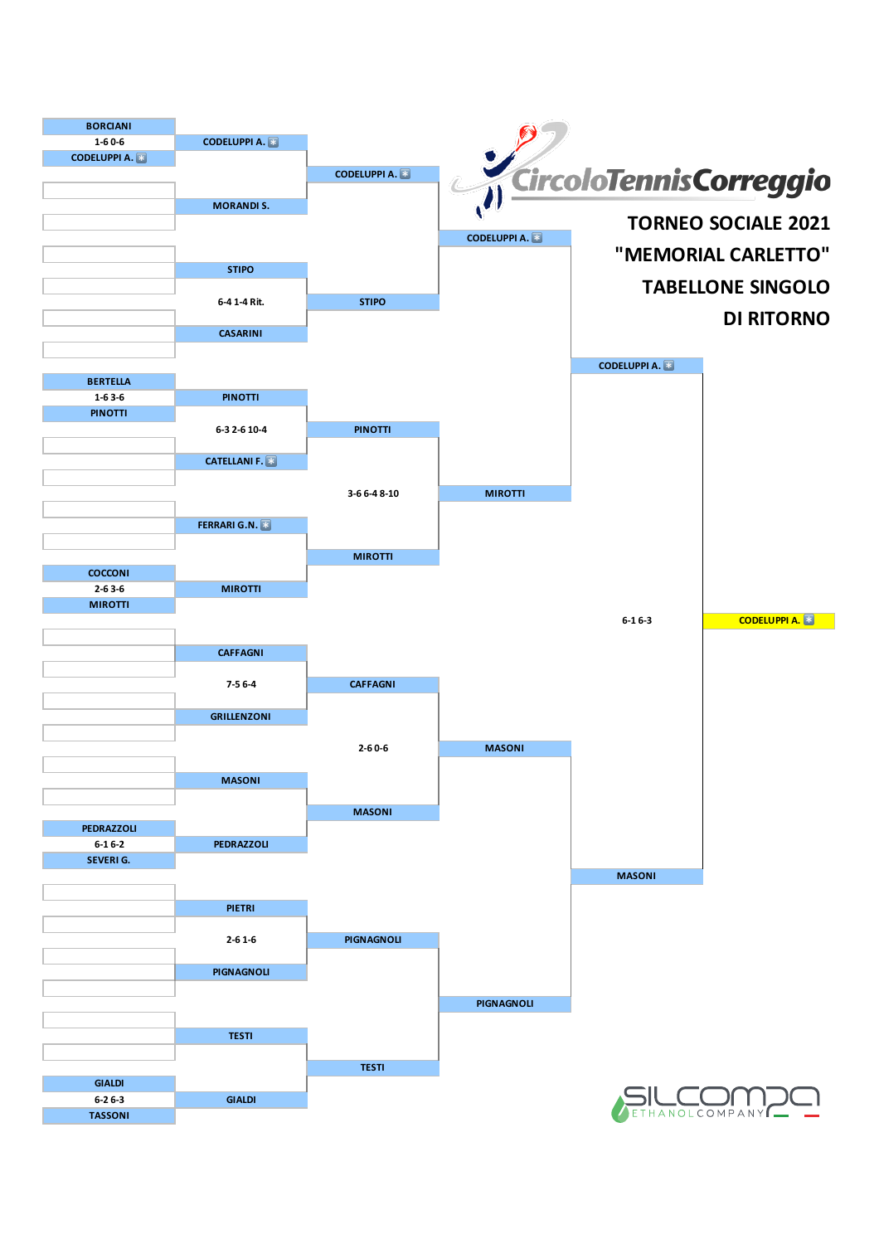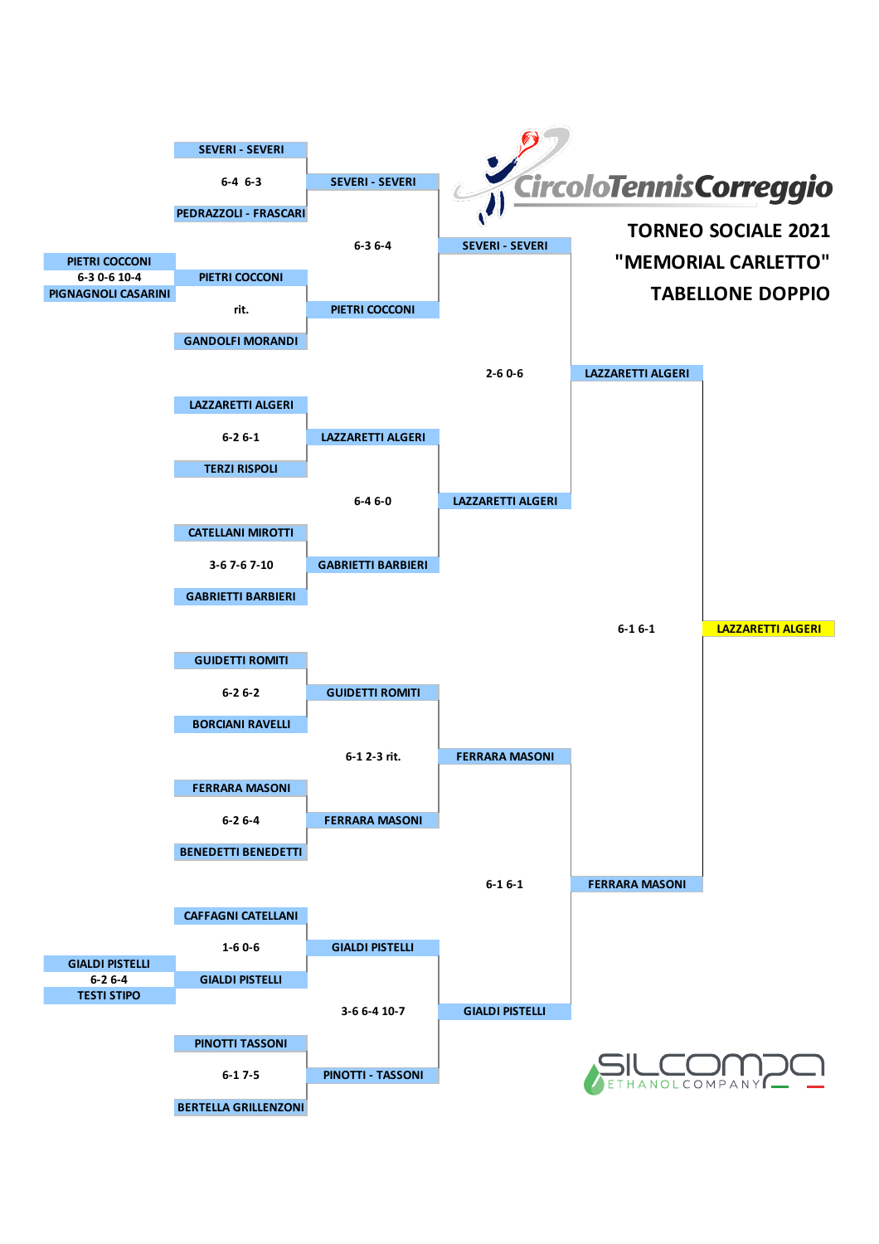